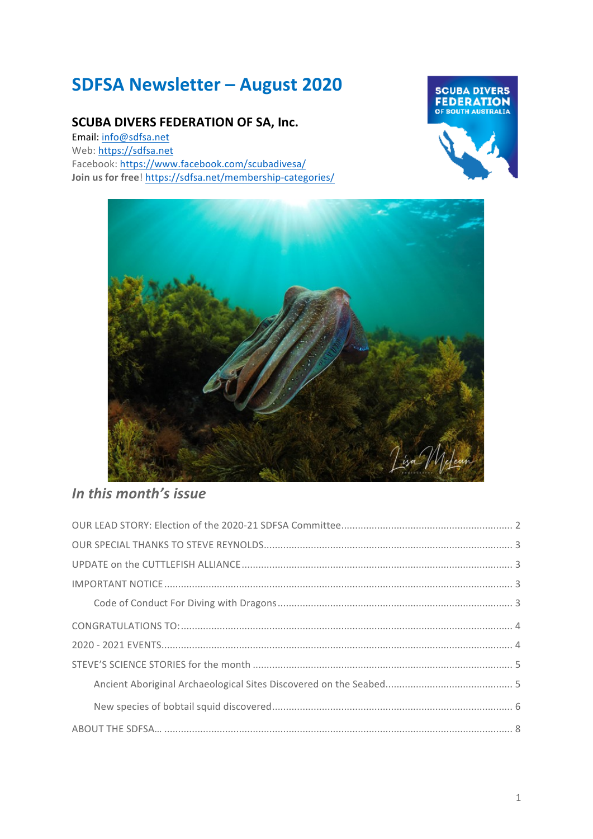# **SDFSA Newsletter – August 2020**

### **SCUBA DIVERS FEDERATION OF SA, Inc.**

Email: info@sdfsa.net Web: https://sdfsa.net Facebook: https://www.facebook.com/scubadivesa/ **Join us for free!** https://sdfsa.net/membership-categories/





# *In this month's issue*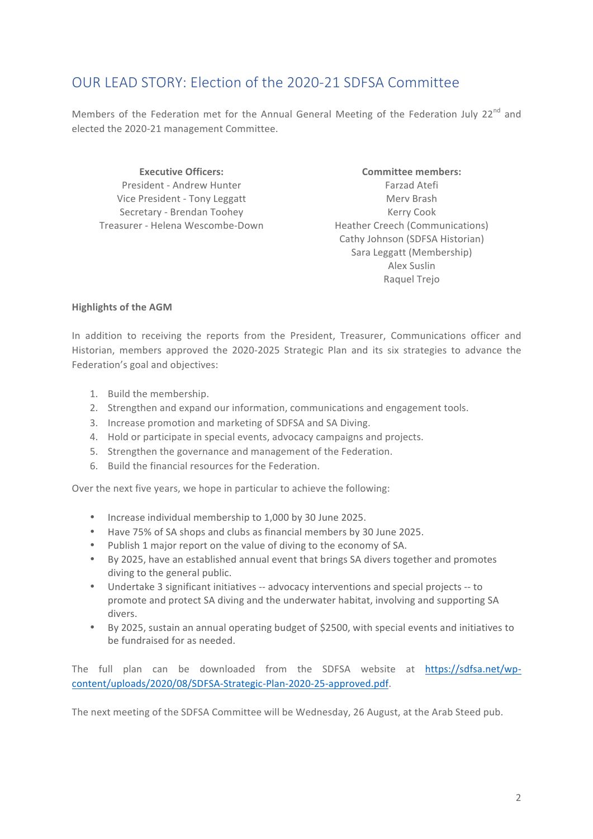# OUR LEAD STORY: Election of the 2020-21 SDFSA Committee

Members of the Federation met for the Annual General Meeting of the Federation July 22<sup>nd</sup> and elected the 2020-21 management Committee.

President - Andrew Hunter Vice President - Tony Leggatt Secretary - Brendan Toohey Treasurer - Helena Wescombe-Down

**Executive Officers: Committee members:** Farzad Atefi Merv Brash Kerry Cook Heather Creech (Communications) Cathy Johnson (SDFSA Historian) Sara Leggatt (Membership) Alex Suslin Raquel Trejo

#### **Highlights of the AGM**

In addition to receiving the reports from the President, Treasurer, Communications officer and Historian, members approved the 2020-2025 Strategic Plan and its six strategies to advance the Federation's goal and objectives:

- 1. Build the membership.
- 2. Strengthen and expand our information, communications and engagement tools.
- 3. Increase promotion and marketing of SDFSA and SA Diving.
- 4. Hold or participate in special events, advocacy campaigns and projects.
- 5. Strengthen the governance and management of the Federation.
- 6. Build the financial resources for the Federation.

Over the next five years, we hope in particular to achieve the following:

- Increase individual membership to 1,000 by 30 June 2025.
- Have 75% of SA shops and clubs as financial members by 30 June 2025.
- Publish 1 major report on the value of diving to the economy of SA.
- By 2025, have an established annual event that brings SA divers together and promotes diving to the general public.
- Undertake 3 significant initiatives -- advocacy interventions and special projects -- to promote and protect SA diving and the underwater habitat, involving and supporting SA divers.
- By 2025, sustain an annual operating budget of \$2500, with special events and initiatives to be fundraised for as needed.

The full plan can be downloaded from the SDFSA website at https://sdfsa.net/wpcontent/uploads/2020/08/SDFSA-Strategic-Plan-2020-25-approved.pdf.

The next meeting of the SDFSA Committee will be Wednesday, 26 August, at the Arab Steed pub.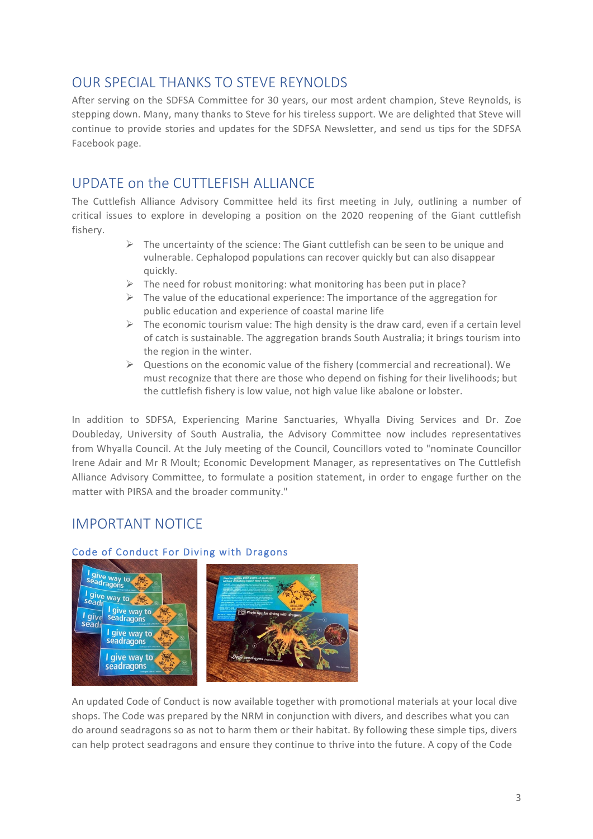# OUR SPECIAL THANKS TO STEVE REYNOLDS

After serving on the SDFSA Committee for 30 years, our most ardent champion, Steve Reynolds, is stepping down. Many, many thanks to Steve for his tireless support. We are delighted that Steve will continue to provide stories and updates for the SDFSA Newsletter, and send us tips for the SDFSA Facebook page.

# UPDATE on the CUTTLEFISH ALLIANCE

The Cuttlefish Alliance Advisory Committee held its first meeting in July, outlining a number of critical issues to explore in developing a position on the 2020 reopening of the Giant cuttlefish fishery. 

- $\triangleright$  The uncertainty of the science: The Giant cuttlefish can be seen to be unique and vulnerable. Cephalopod populations can recover quickly but can also disappear quickly.
- $\triangleright$  The need for robust monitoring: what monitoring has been put in place?
- $\triangleright$  The value of the educational experience: The importance of the aggregation for public education and experience of coastal marine life
- $\triangleright$  The economic tourism value: The high density is the draw card, even if a certain level of catch is sustainable. The aggregation brands South Australia; it brings tourism into the region in the winter.
- $\triangleright$  Questions on the economic value of the fishery (commercial and recreational). We must recognize that there are those who depend on fishing for their livelihoods; but the cuttlefish fishery is low value, not high value like abalone or lobster.

In addition to SDFSA, Experiencing Marine Sanctuaries, Whyalla Diving Services and Dr. Zoe Doubleday, University of South Australia, the Advisory Committee now includes representatives from Whyalla Council. At the July meeting of the Council, Councillors voted to "nominate Councillor Irene Adair and Mr R Moult; Economic Development Manager, as representatives on The Cuttlefish Alliance Advisory Committee, to formulate a position statement, in order to engage further on the matter with PIRSA and the broader community."

## IMPORTANT NOTICE



#### Code of Conduct For Diving with Dragons

An updated Code of Conduct is now available together with promotional materials at your local dive shops. The Code was prepared by the NRM in conjunction with divers, and describes what you can do around seadragons so as not to harm them or their habitat. By following these simple tips, divers can help protect seadragons and ensure they continue to thrive into the future. A copy of the Code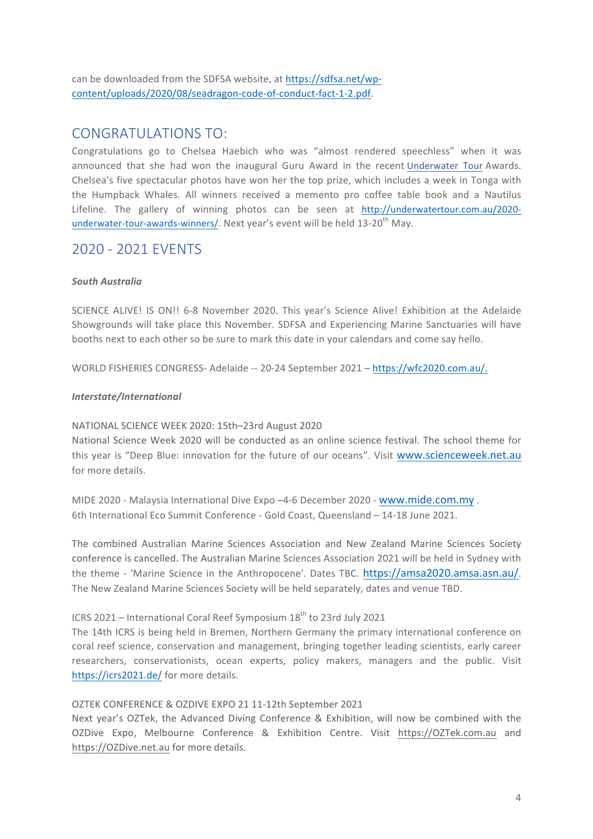can be downloaded from the SDFSA website, at https://sdfsa.net/wpcontent/uploads/2020/08/seadragon-code-of-conduct-fact-1-2.pdf. 

### CONGRATULATIONS TO:

Congratulations go to Chelsea Haebich who was "almost rendered speechless" when it was announced that she had won the inaugural Guru Award in the recent Underwater Tour Awards. Chelsea's five spectacular photos have won her the top prize, which includes a week in Tonga with the Humpback Whales. All winners received a memento pro coffee table book and a Nautilus Lifeline. The gallery of winning photos can be seen at http://underwatertour.com.au/2020underwater-tour-awards-winners/. Next year's event will be held 13-20<sup>th</sup> May.

### 2020 - 2021 EVENTS

#### *South Australia*

SCIENCE ALIVE! IS ON!! 6-8 November 2020. This year's Science Alive! Exhibition at the Adelaide Showgrounds will take place this November. SDFSA and Experiencing Marine Sanctuaries will have booths next to each other so be sure to mark this date in your calendars and come say hello.

WORLD FISHERIES CONGRESS- Adelaide -- 20-24 September 2021 – https://wfc2020.com.au/.

#### *Interstate/International*

#### NATIONAL SCIENCE WEEK 2020: 15th-23rd August 2020

National Science Week 2020 will be conducted as an online science festival. The school theme for this year is "Deep Blue: innovation for the future of our oceans". Visit www.scienceweek.net.au for more details.

MIDE 2020 - Malaysia International Dive Expo -4-6 December 2020 - www.mide.com.my . 6th International Eco Summit Conference - Gold Coast, Queensland - 14-18 June 2021.

The combined Australian Marine Sciences Association and New Zealand Marine Sciences Society conference is cancelled. The Australian Marine Sciences Association 2021 will be held in Sydney with the theme - 'Marine Science in the Anthropocene'. Dates TBC. https://amsa2020.amsa.asn.au/. The New Zealand Marine Sciences Society will be held separately, dates and venue TBD.

### ICRS 2021 – International Coral Reef Symposium  $18<sup>th</sup>$  to 23rd July 2021

The 14th ICRS is being held in Bremen, Northern Germany the primary international conference on coral reef science, conservation and management, bringing together leading scientists, early career researchers, conservationists, ocean experts, policy makers, managers and the public. Visit https://icrs2021.de/ for more details.

#### OZTEK CONFERENCE & OZDIVE EXPO 21 11-12th September 2021

Next year's OZTek, the Advanced Diving Conference & Exhibition, will now be combined with the OZDive Expo, Melbourne Conference & Exhibition Centre. Visit https://OZTek.com.au and https://OZDive.net.au for more details.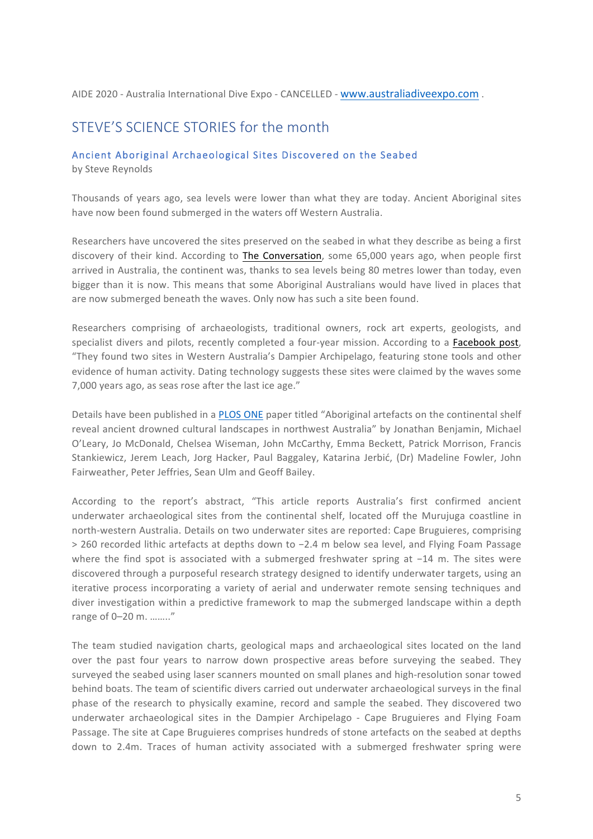#### AIDE 2020 - Australia International Dive Expo - CANCELLED - www.australiadiveexpo.com .

### STEVE'S SCIENCE STORIES for the month

#### Ancient Aboriginal Archaeological Sites Discovered on the Seabed

by Steve Reynolds

Thousands of years ago, sea levels were lower than what they are today. Ancient Aboriginal sites have now been found submerged in the waters off Western Australia.

Researchers have uncovered the sites preserved on the seabed in what they describe as being a first discovery of their kind. According to The Conversation, some 65,000 years ago, when people first arrived in Australia, the continent was, thanks to sea levels being 80 metres lower than today, even bigger than it is now. This means that some Aboriginal Australians would have lived in places that are now submerged beneath the waves. Only now has such a site been found.

Researchers comprising of archaeologists, traditional owners, rock art experts, geologists, and specialist divers and pilots, recently completed a four-year mission. According to a Facebook post, "They found two sites in Western Australia's Dampier Archipelago, featuring stone tools and other evidence of human activity. Dating technology suggests these sites were claimed by the waves some 7,000 years ago, as seas rose after the last ice age."

Details have been published in a PLOS ONE paper titled "Aboriginal artefacts on the continental shelf reveal ancient drowned cultural landscapes in northwest Australia" by Jonathan Benjamin, Michael O'Leary, Jo McDonald, Chelsea Wiseman, John McCarthy, Emma Beckett, Patrick Morrison, Francis Stankiewicz, Jerem Leach, Jorg Hacker, Paul Baggaley, Katarina Jerbić, (Dr) Madeline Fowler, John Fairweather, Peter Jeffries, Sean Ulm and Geoff Bailey.

According to the report's abstract, "This article reports Australia's first confirmed ancient underwater archaeological sites from the continental shelf, located off the Murujuga coastline in north-western Australia. Details on two underwater sites are reported: Cape Bruguieres, comprising > 260 recorded lithic artefacts at depths down to -2.4 m below sea level, and Flying Foam Passage where the find spot is associated with a submerged freshwater spring at  $-14$  m. The sites were discovered through a purposeful research strategy designed to identify underwater targets, using an iterative process incorporating a variety of aerial and underwater remote sensing techniques and diver investigation within a predictive framework to map the submerged landscape within a depth range of 0-20 m. ........"

The team studied navigation charts, geological maps and archaeological sites located on the land over the past four years to narrow down prospective areas before surveying the seabed. They surveyed the seabed using laser scanners mounted on small planes and high-resolution sonar towed behind boats. The team of scientific divers carried out underwater archaeological surveys in the final phase of the research to physically examine, record and sample the seabed. They discovered two underwater archaeological sites in the Dampier Archipelago - Cape Bruguieres and Flying Foam Passage. The site at Cape Bruguieres comprises hundreds of stone artefacts on the seabed at depths down to 2.4m. Traces of human activity associated with a submerged freshwater spring were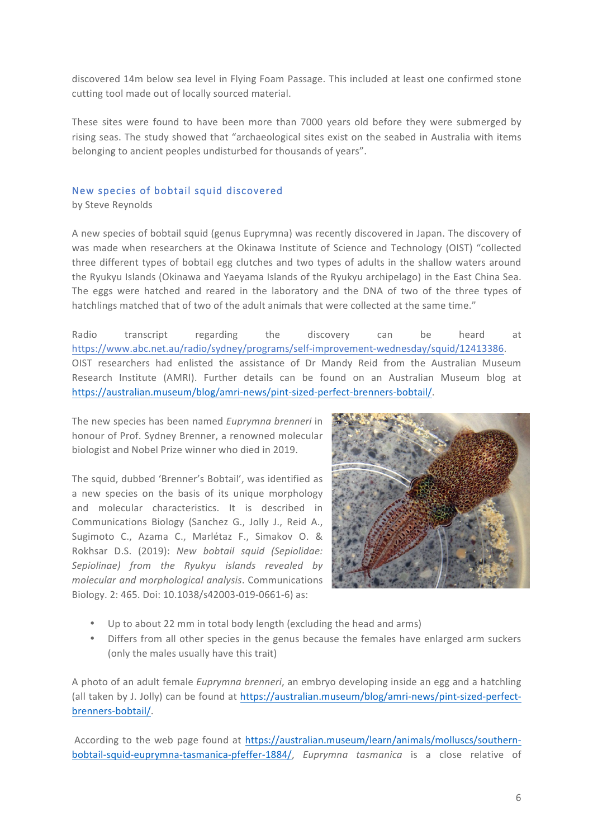discovered 14m below sea level in Flying Foam Passage. This included at least one confirmed stone cutting tool made out of locally sourced material.

These sites were found to have been more than 7000 years old before they were submerged by rising seas. The study showed that "archaeological sites exist on the seabed in Australia with items belonging to ancient peoples undisturbed for thousands of years".

#### New species of bobtail squid discovered

by Steve Reynolds

A new species of bobtail squid (genus Euprymna) was recently discovered in Japan. The discovery of was made when researchers at the Okinawa Institute of Science and Technology (OIST) "collected three different types of bobtail egg clutches and two types of adults in the shallow waters around the Ryukyu Islands (Okinawa and Yaeyama Islands of the Ryukyu archipelago) in the East China Sea. The eggs were hatched and reared in the laboratory and the DNA of two of the three types of hatchlings matched that of two of the adult animals that were collected at the same time."

Radio transcript regarding the discovery can be heard at https://www.abc.net.au/radio/sydney/programs/self-improvement-wednesday/squid/12413386. OIST researchers had enlisted the assistance of Dr Mandy Reid from the Australian Museum Research Institute (AMRI). Further details can be found on an Australian Museum blog at https://australian.museum/blog/amri-news/pint-sized-perfect-brenners-bobtail/. 

The new species has been named *Euprymng brenneri* in honour of Prof. Sydney Brenner, a renowned molecular biologist and Nobel Prize winner who died in 2019.

The squid, dubbed 'Brenner's Bobtail', was identified as a new species on the basis of its unique morphology and molecular characteristics. It is described in Communications Biology (Sanchez G., Jolly J., Reid A., Sugimoto C., Azama C., Marlétaz F., Simakov O. & Rokhsar D.S. (2019): *New bobtail squid (Sepiolidae:* Sepiolinae) from the Ryukyu islands revealed by *molecular and morphological analysis*. Communications Biology. 2: 465. Doi: 10.1038/s42003-019-0661-6) as:



- Up to about 22 mm in total body length (excluding the head and arms)
- Differs from all other species in the genus because the females have enlarged arm suckers (only the males usually have this trait)

A photo of an adult female *Euprymna brenneri*, an embryo developing inside an egg and a hatchling (all taken by J. Jolly) can be found at https://australian.museum/blog/amri-news/pint-sized-perfectbrenners-bobtail/.

According to the web page found at https://australian.museum/learn/animals/molluscs/southernbobtail-squid-euprymna-tasmanica-pfeffer-1884/, *Euprymna tasmanica* is a close relative of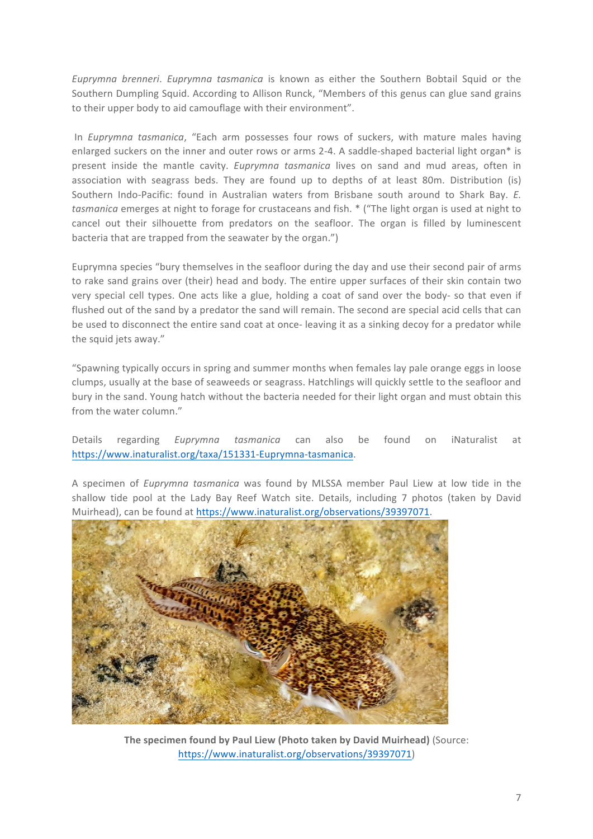*Euprymna brenneri. Euprymna tasmanica* is known as either the Southern Bobtail Squid or the Southern Dumpling Squid. According to Allison Runck, "Members of this genus can glue sand grains to their upper body to aid camouflage with their environment".

In *Euprymna tasmanica*, "Each arm possesses four rows of suckers, with mature males having enlarged suckers on the inner and outer rows or arms 2-4. A saddle-shaped bacterial light organ\* is present inside the mantle cavity. *Euprymna tasmanica* lives on sand and mud areas, often in association with seagrass beds. They are found up to depths of at least 80m. Distribution (is) Southern Indo-Pacific: found in Australian waters from Brisbane south around to Shark Bay. *E. tasmanica* emerges at night to forage for crustaceans and fish. \* ("The light organ is used at night to cancel out their silhouette from predators on the seafloor. The organ is filled by luminescent bacteria that are trapped from the seawater by the organ.")

Euprymna species "bury themselves in the seafloor during the day and use their second pair of arms to rake sand grains over (their) head and body. The entire upper surfaces of their skin contain two very special cell types. One acts like a glue, holding a coat of sand over the body- so that even if flushed out of the sand by a predator the sand will remain. The second are special acid cells that can be used to disconnect the entire sand coat at once- leaving it as a sinking decoy for a predator while the squid jets away."

"Spawning typically occurs in spring and summer months when females lay pale orange eggs in loose clumps, usually at the base of seaweeds or seagrass. Hatchlings will quickly settle to the seafloor and bury in the sand. Young hatch without the bacteria needed for their light organ and must obtain this from the water column."

Details regarding *Euprymna tasmanica* can also be found on iNaturalist at https://www.inaturalist.org/taxa/151331-Euprymna-tasmanica.

A specimen of *Euprymna tasmanica* was found by MLSSA member Paul Liew at low tide in the shallow tide pool at the Lady Bay Reef Watch site. Details, including 7 photos (taken by David Muirhead), can be found at https://www.inaturalist.org/observations/39397071.



**The specimen found by Paul Liew (Photo taken by David Muirhead)** (Source: https://www.inaturalist.org/observations/39397071)